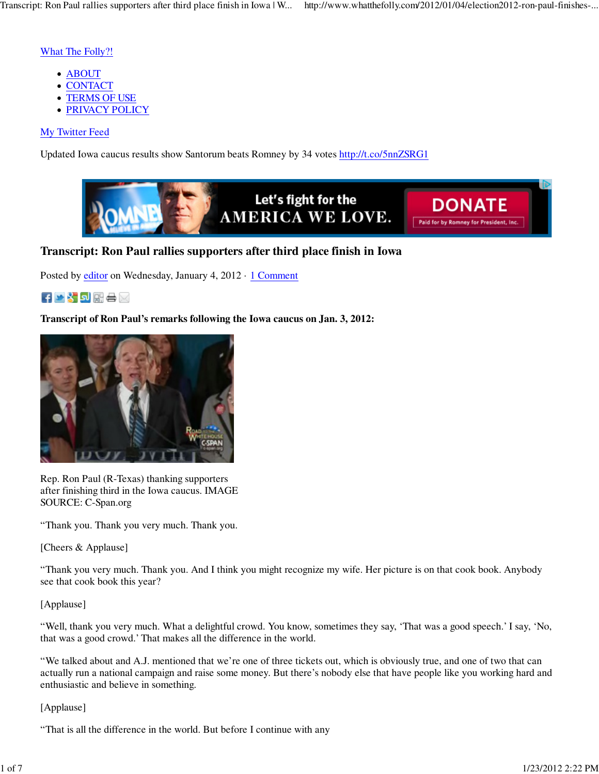## What The Folly?!

- ABOUT
- CONTACT
- TERMS OF USE
- **PRIVACY POLICY**

## My Twitter Feed

Updated Iowa caucus results show Santorum beats Romney by 34 votes http://t.co/5nnZSRG1



## **Transcript: Ron Paul rallies supporters after third place finish in Iowa**

Posted by editor on Wednesday, January 4, 2012 · 1 Comment

## ▐<mark>▝▌</mark>▒▒∊

**Transcript of Ron Paul's remarks following the Iowa caucus on Jan. 3, 2012:** 



Rep. Ron Paul (R-Texas) thanking supporters after finishing third in the Iowa caucus. IMAGE SOURCE: C-Span.org

"Thank you. Thank you very much. Thank you.

[Cheers & Applause]

"Thank you very much. Thank you. And I think you might recognize my wife. Her picture is on that cook book. Anybody see that cook book this year?

## [Applause]

"Well, thank you very much. What a delightful crowd. You know, sometimes they say, 'That was a good speech.' I say, 'No, that was a good crowd.' That makes all the difference in the world.

"We talked about and A.J. mentioned that we're one of three tickets out, which is obviously true, and one of two that can actually run a national campaign and raise some money. But there's nobody else that have people like you working hard and enthusiastic and believe in something.

## [Applause]

"That is all the difference in the world. But before I continue with any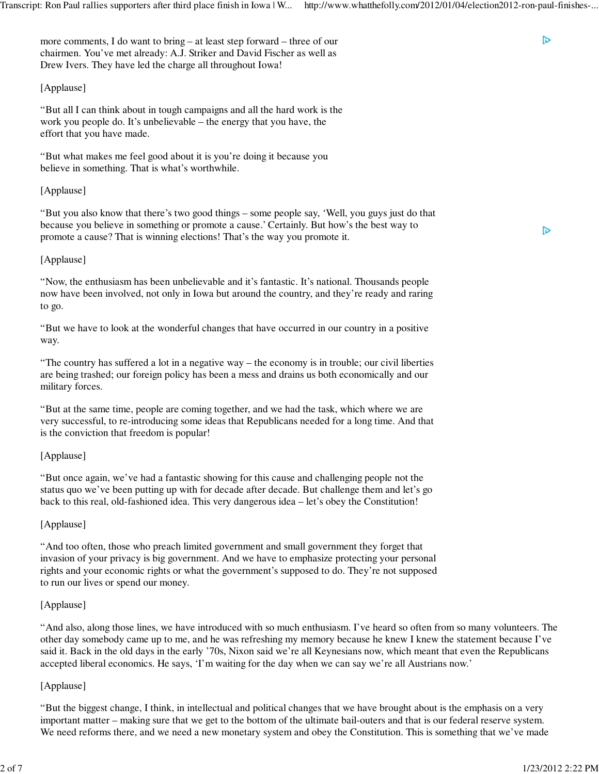more comments, I do want to bring – at least step forward – three of our chairmen. You've met already: A.J. Striker and David Fischer as well as Drew Ivers. They have led the charge all throughout Iowa!

## [Applause]

"But all I can think about in tough campaigns and all the hard work is the work you people do. It's unbelievable – the energy that you have, the effort that you have made.

"But what makes me feel good about it is you're doing it because you believe in something. That is what's worthwhile.

#### [Applause]

"But you also know that there's two good things – some people say, 'Well, you guys just do that because you believe in something or promote a cause.' Certainly. But how's the best way to promote a cause? That is winning elections! That's the way you promote it.

#### [Applause]

"Now, the enthusiasm has been unbelievable and it's fantastic. It's national. Thousands people now have been involved, not only in Iowa but around the country, and they're ready and raring to go.

"But we have to look at the wonderful changes that have occurred in our country in a positive way.

"The country has suffered a lot in a negative way – the economy is in trouble; our civil liberties are being trashed; our foreign policy has been a mess and drains us both economically and our military forces.

"But at the same time, people are coming together, and we had the task, which where we are very successful, to re-introducing some ideas that Republicans needed for a long time. And that is the conviction that freedom is popular!

## [Applause]

"But once again, we've had a fantastic showing for this cause and challenging people not the status quo we've been putting up with for decade after decade. But challenge them and let's go back to this real, old-fashioned idea. This very dangerous idea – let's obey the Constitution!

#### [Applause]

"And too often, those who preach limited government and small government they forget that invasion of your privacy is big government. And we have to emphasize protecting your personal rights and your economic rights or what the government's supposed to do. They're not supposed to run our lives or spend our money.

#### [Applause]

"And also, along those lines, we have introduced with so much enthusiasm. I've heard so often from so many volunteers. The other day somebody came up to me, and he was refreshing my memory because he knew I knew the statement because I've said it. Back in the old days in the early '70s, Nixon said we're all Keynesians now, which meant that even the Republicans accepted liberal economics. He says, 'I'm waiting for the day when we can say we're all Austrians now.'

#### [Applause]

"But the biggest change, I think, in intellectual and political changes that we have brought about is the emphasis on a very important matter – making sure that we get to the bottom of the ultimate bail-outers and that is our federal reserve system. We need reforms there, and we need a new monetary system and obey the Constitution. This is something that we've made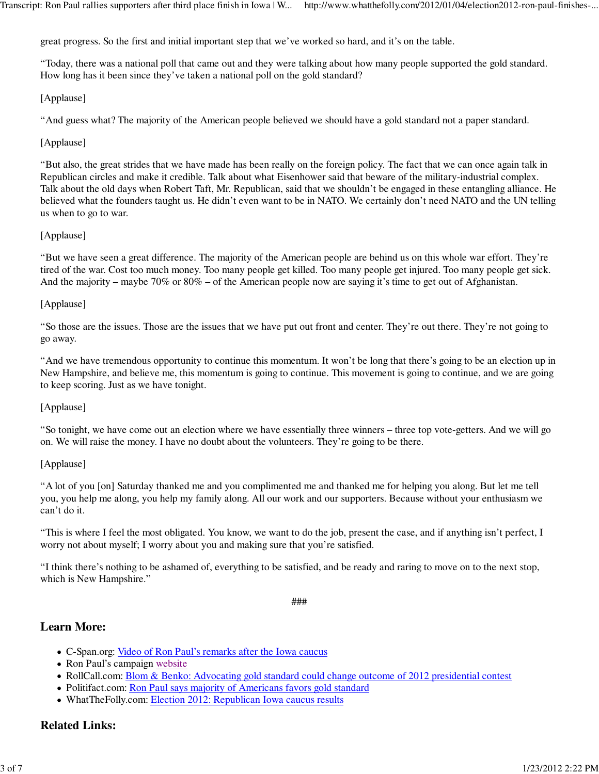great progress. So the first and initial important step that we've worked so hard, and it's on the table.

"Today, there was a national poll that came out and they were talking about how many people supported the gold standard. How long has it been since they've taken a national poll on the gold standard?

## [Applause]

"And guess what? The majority of the American people believed we should have a gold standard not a paper standard.

## [Applause]

"But also, the great strides that we have made has been really on the foreign policy. The fact that we can once again talk in Republican circles and make it credible. Talk about what Eisenhower said that beware of the military-industrial complex. Talk about the old days when Robert Taft, Mr. Republican, said that we shouldn't be engaged in these entangling alliance. He believed what the founders taught us. He didn't even want to be in NATO. We certainly don't need NATO and the UN telling us when to go to war.

## [Applause]

"But we have seen a great difference. The majority of the American people are behind us on this whole war effort. They're tired of the war. Cost too much money. Too many people get killed. Too many people get injured. Too many people get sick. And the majority – maybe 70% or 80% – of the American people now are saying it's time to get out of Afghanistan.

## [Applause]

"So those are the issues. Those are the issues that we have put out front and center. They're out there. They're not going to go away.

"And we have tremendous opportunity to continue this momentum. It won't be long that there's going to be an election up in New Hampshire, and believe me, this momentum is going to continue. This movement is going to continue, and we are going to keep scoring. Just as we have tonight.

## [Applause]

"So tonight, we have come out an election where we have essentially three winners – three top vote-getters. And we will go on. We will raise the money. I have no doubt about the volunteers. They're going to be there.

## [Applause]

"A lot of you [on] Saturday thanked me and you complimented me and thanked me for helping you along. But let me tell you, you help me along, you help my family along. All our work and our supporters. Because without your enthusiasm we can't do it.

"This is where I feel the most obligated. You know, we want to do the job, present the case, and if anything isn't perfect, I worry not about myself; I worry about you and making sure that you're satisfied.

"I think there's nothing to be ashamed of, everything to be satisfied, and be ready and raring to move on to the next stop, which is New Hampshire."

###

## **Learn More:**

- C-Span.org: Video of Ron Paul's remarks after the Iowa caucus
- Ron Paul's campaign website
- RollCall.com: Blom & Benko: Advocating gold standard could change outcome of 2012 presidential contest
- Politifact.com: Ron Paul says majority of Americans favors gold standard
- WhatTheFolly.com: Election 2012: Republican Iowa caucus results

## **Related Links:**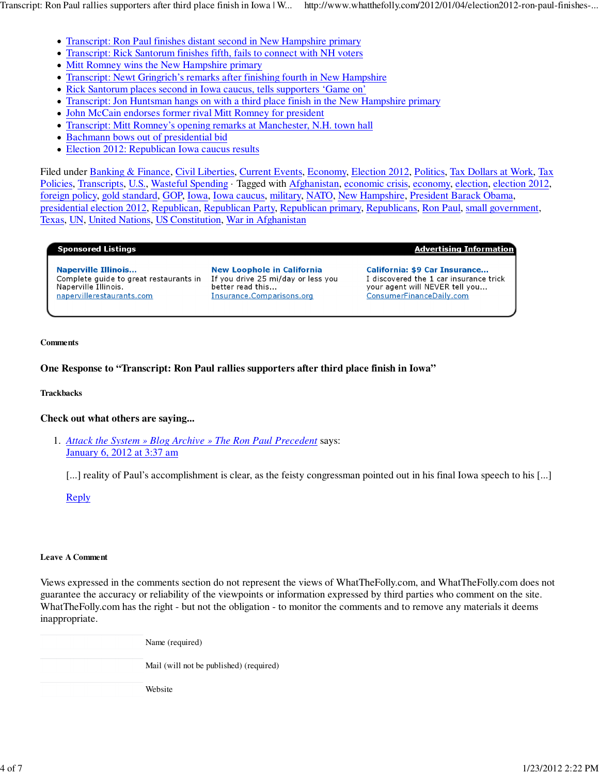Transcript: Ron Paul rallies supporters after third place finish in Iowa | W... http://www.whatthefolly.com/2012/01/04/election2012-ron-paul-finishes-...

- Transcript: Ron Paul finishes distant second in New Hampshire primary
- Transcript: Rick Santorum finishes fifth, fails to connect with NH voters
- Mitt Romney wins the New Hampshire primary
- Transcript: Newt Gringrich's remarks after finishing fourth in New Hampshire
- Rick Santorum places second in Iowa caucus, tells supporters 'Game on'
- Transcript: Jon Huntsman hangs on with a third place finish in the New Hampshire primary
- John McCain endorses former rival Mitt Romney for president
- Transcript: Mitt Romney's opening remarks at Manchester, N.H. town hall
- Bachmann bows out of presidential bid
- Election 2012: Republican Iowa caucus results

Filed under Banking & Finance, Civil Liberties, Current Events, Economy, Election 2012, Politics, Tax Dollars at Work, Tax Policies, Transcripts, U.S., Wasteful Spending · Tagged with Afghanistan, economic crisis, economy, election, election 2012, foreign policy, gold standard, GOP, Iowa, Iowa caucus, military, NATO, New Hampshire, President Barack Obama, presidential election 2012, Republican, Republican Party, Republican primary, Republicans, Ron Paul, small government, Texas, UN, United Nations, US Constitution, War in Afghanistan

#### **Sponsored Listings**

**Naperville Illinois...** Complete guide to great restaurants in Naperville Illinois. napervillerestaurants.com

**New Loophole in California** If you drive 25 mi/day or less you better read this... Insurance.Comparisons.org

<u> Advertising Information</u>

California: \$9 Car Insurance... I discovered the 1 car insurance trick your agent will NEVER tell you... ConsumerFinanceDaily.com

#### **Comments**

## **One Response to "Transcript: Ron Paul rallies supporters after third place finish in Iowa"**

**Trackbacks**

## **Check out what others are saying...**

*Attack the System » Blog Archive » The Ron Paul Precedent* says: 1. January 6, 2012 at 3:37 am

[...] reality of Paul's accomplishment is clear, as the feisty congressman pointed out in his final Iowa speech to his [...]

Reply

## **Leave A Comment**

Views expressed in the comments section do not represent the views of WhatTheFolly.com, and WhatTheFolly.com does not guarantee the accuracy or reliability of the viewpoints or information expressed by third parties who comment on the site. WhatTheFolly.com has the right - but not the obligation - to monitor the comments and to remove any materials it deems inappropriate.

| Name (required)                         |
|-----------------------------------------|
| Mail (will not be published) (required) |
| Website                                 |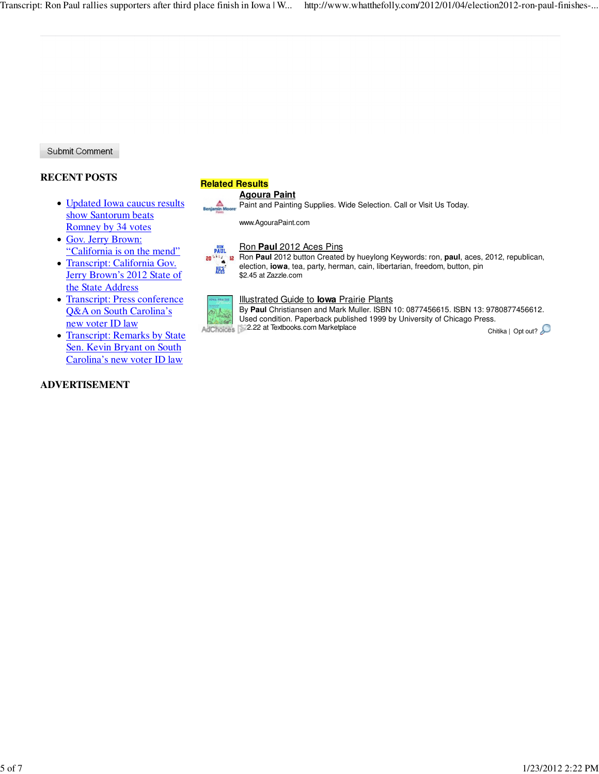Submit Comment

## **RECENT POSTS**

- Updated Iowa caucus results show Santorum beats Romney by 34 votes
- Gov. Jerry Brown: "California is on the mend"
- Transcript: California Gov. Jerry Brown's 2012 State of the State Address
- Transcript: Press conference Q&A on South Carolina's new voter ID law
- Transcript: Remarks by State Sen. Kevin Bryant on South Carolina's new voter ID law

## **ADVERTISEMENT**

## **Related Results**

#### **Agoura Paint**

Paint and Painting Supplies. Wide Selection. Call or Visit Us Today.

www.AgouraPaint.com

#### Ron **Paul** 2012 Aces Pins **RON**<br>PAUL

**RON Paul** 2012 button Created by hueylong Keywords: ron, paul, aces, 2012, republican, election, **iowa**, tea, party, herman, cain, libertarian, freedom, button, pin **HE'S** \$2.45 at Zazzle.com



#### Illustrated Guide to **Iowa** Prairie Plants

By **Paul** Christiansen and Mark Muller. ISBN 10: 0877456615. ISBN 13: 9780877456612. Used condition. Paperback published 1999 by University of Chicago Press. AdChoices 32.22 at Textbooks.com Marketplace Chitika | Opt out?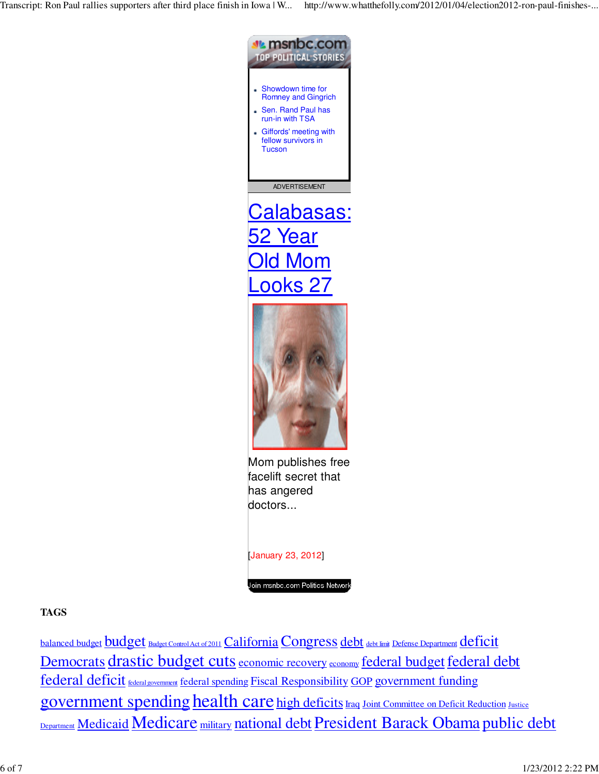Transcript: Ron Paul rallies supporters after third place finish in Iowa | W... http://www.whatthefolly.com/2012/01/04/election2012-ron-paul-finishes-...



## Join msnbc.com Politics Network

## **TAGS**

balanced budget **budget** Budget Control Act of 2011 California Congress debt debt limit Defense Department deficit Democrats drastic budget cuts economic recovery economy federal budget federal debt federal deficit **federal government** federal spending Fiscal Responsibility GOP government funding government spending health care high deficits Iraq Joint Committee on Deficit Reduction Justice Department Medicaid Medicare military national debt President Barack Obama public debt